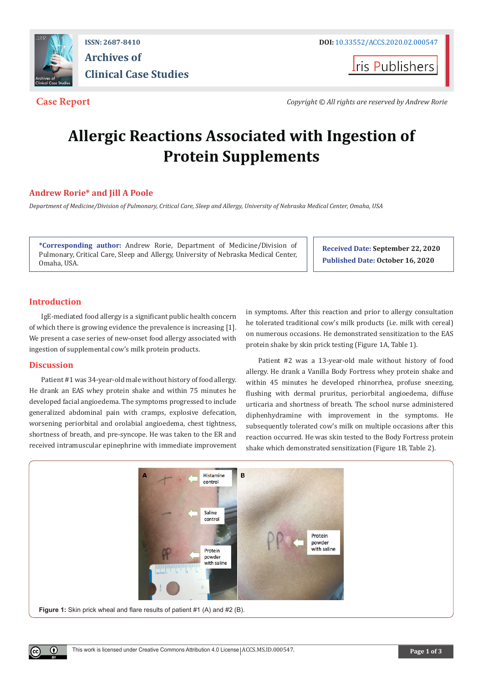

**ISSN: 2687-8410 DOI:** [10.33552/ACCS.2020.02.000547](http://dx.doi.org/10.33552/ACCS.2020.02.000547) **Archives of Clinical Case Studies** 

**I**ris Publishers

**Case Report** *Copyright © All rights are reserved by Andrew Rorie*

# **Allergic Reactions Associated with Ingestion of Protein Supplements**

# **Andrew Rorie\* and Jill A Poole**

*Department of Medicine/Division of Pulmonary, Critical Care, Sleep and Allergy, University of Nebraska Medical Center, Omaha, USA*

**\*Corresponding author:** Andrew Rorie, Department of Medicine/Division of Pulmonary, Critical Care, Sleep and Allergy, University of Nebraska Medical Center, Omaha, USA.

**Received Date: September 22, 2020 Published Date: October 16, 2020**

# **Introduction**

IgE-mediated food allergy is a significant public health concern of which there is growing evidence the prevalence is increasing [1]. We present a case series of new-onset food allergy associated with ingestion of supplemental cow's milk protein products.

### **Discussion**

 $^{\circ}$ 

Patient #1 was 34-year-old male without history of food allergy. He drank an EAS whey protein shake and within 75 minutes he developed facial angioedema. The symptoms progressed to include generalized abdominal pain with cramps, explosive defecation, worsening periorbital and orolabial angioedema, chest tightness, shortness of breath, and pre-syncope. He was taken to the ER and received intramuscular epinephrine with immediate improvement in symptoms. After this reaction and prior to allergy consultation he tolerated traditional cow's milk products (i.e. milk with cereal) on numerous occasions. He demonstrated sensitization to the EAS protein shake by skin prick testing (Figure 1A, Table 1).

Patient #2 was a 13-year-old male without history of food allergy. He drank a Vanilla Body Fortress whey protein shake and within 45 minutes he developed rhinorrhea, profuse sneezing, flushing with dermal pruritus, periorbital angioedema, diffuse urticaria and shortness of breath. The school nurse administered diphenhydramine with improvement in the symptoms. He subsequently tolerated cow's milk on multiple occasions after this reaction occurred. He was skin tested to the Body Fortress protein shake which demonstrated sensitization (Figure 1B, Table 2).

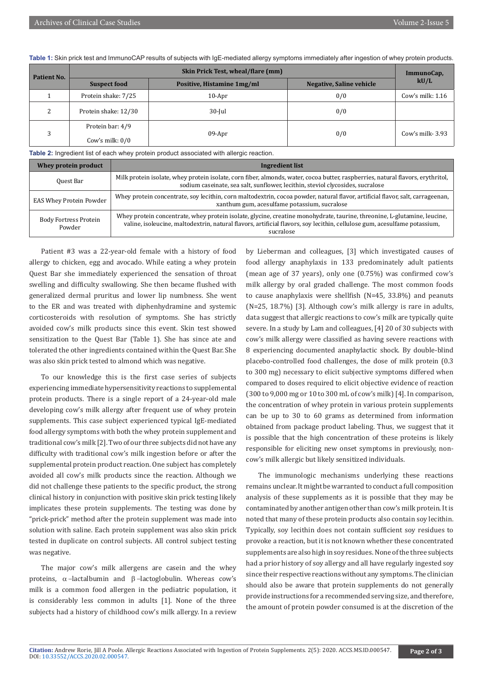**Table 1:** Skin prick test and ImmunoCAP results of subjects with IgE-mediated allergy symptoms immediately after ingestion of whey protein products.

| Patient No. | Skin Prick Test, wheal/flare (mm)     |                            |                                 | ImmunoCap,         |
|-------------|---------------------------------------|----------------------------|---------------------------------|--------------------|
|             | <b>Suspect food</b>                   | Positive, Histamine 1mg/ml | <b>Negative, Saline vehicle</b> | kU/L               |
|             | Protein shake: 7/25                   | $10-Apr$                   | 0/0                             | Cow's milk: $1.16$ |
|             | Protein shake: 12/30                  | $30$ -Jul                  | 0/0                             |                    |
|             | Protein bar: 4/9<br>Cow's milk: $0/0$ | 09-Apr                     | 0/0                             | Cow's milk- $3.93$ |

**Table 2:** Ingredient list of each whey protein product associated with allergic reaction.

| Whey protein product                   | Ingredient list                                                                                                                                                                                                                                                    |  |  |
|----------------------------------------|--------------------------------------------------------------------------------------------------------------------------------------------------------------------------------------------------------------------------------------------------------------------|--|--|
| Quest Bar                              | Milk protein isolate, whey protein isolate, corn fiber, almonds, water, cocoa butter, raspberries, natural flavors, erythritol,<br>sodium caseinate, sea salt, sunflower, lecithin, steviol clycosides, sucralose                                                  |  |  |
| <b>EAS Whey Protein Powder</b>         | Whey protein concentrate, soy lecithin, corn maltodextrin, cocoa powder, natural flavor, artificial flavor, salt, carrageenan,<br>xanthum gum, acesulfame potassium, sucralose                                                                                     |  |  |
| <b>Body Fortress Protein</b><br>Powder | Whey protein concentrate, whey protein isolate, glycine, creatine monohydrate, taurine, threonine, L-glutamine, leucine,<br>valine, isoleucine, maltodextrin, natural flavors, artificial flavors, soy lecithin, cellulose gum, acesulfame potassium,<br>sucralose |  |  |

Patient #3 was a 22-year-old female with a history of food allergy to chicken, egg and avocado. While eating a whey protein Quest Bar she immediately experienced the sensation of throat swelling and difficulty swallowing. She then became flushed with generalized dermal pruritus and lower lip numbness. She went to the ER and was treated with diphenhydramine and systemic corticosteroids with resolution of symptoms. She has strictly avoided cow's milk products since this event. Skin test showed sensitization to the Quest Bar (Table 1). She has since ate and tolerated the other ingredients contained within the Quest Bar. She was also skin prick tested to almond which was negative.

To our knowledge this is the first case series of subjects experiencing immediate hypersensitivity reactions to supplemental protein products. There is a single report of a 24-year-old male developing cow's milk allergy after frequent use of whey protein supplements. This case subject experienced typical IgE-mediated food allergy symptoms with both the whey protein supplement and traditional cow's milk [2]. Two of our three subjects did not have any difficulty with traditional cow's milk ingestion before or after the supplemental protein product reaction. One subject has completely avoided all cow's milk products since the reaction. Although we did not challenge these patients to the specific product, the strong clinical history in conjunction with positive skin prick testing likely implicates these protein supplements. The testing was done by "prick-prick" method after the protein supplement was made into solution with saline. Each protein supplement was also skin prick tested in duplicate on control subjects. All control subject testing was negative.

The major cow's milk allergens are casein and the whey proteins,  $\alpha$ -lactalbumin and  $\beta$ -lactoglobulin. Whereas cow's milk is a common food allergen in the pediatric population, it is considerably less common in adults [1]. None of the three subjects had a history of childhood cow's milk allergy. In a review

by Lieberman and colleagues, [3] which investigated causes of food allergy anaphylaxis in 133 predominately adult patients (mean age of 37 years), only one (0.75%) was confirmed cow's milk allergy by oral graded challenge. The most common foods to cause anaphylaxis were shellfish (N=45, 33.8%) and peanuts (N=25, 18.7%) [3]. Although cow's milk allergy is rare in adults, data suggest that allergic reactions to cow's milk are typically quite severe. In a study by Lam and colleagues, [4] 20 of 30 subjects with cow's milk allergy were classified as having severe reactions with 8 experiencing documented anaphylactic shock. By double-blind placebo-controlled food challenges, the dose of milk protein (0.3 to 300 mg) necessary to elicit subjective symptoms differed when compared to doses required to elicit objective evidence of reaction (300 to 9,000 mg or 10 to 300 mL of cow's milk) [4]. In comparison, the concentration of whey protein in various protein supplements can be up to 30 to 60 grams as determined from information obtained from package product labeling. Thus, we suggest that it is possible that the high concentration of these proteins is likely responsible for eliciting new onset symptoms in previously, noncow's milk allergic but likely sensitized individuals.

The immunologic mechanisms underlying these reactions remains unclear. It might be warranted to conduct a full composition analysis of these supplements as it is possible that they may be contaminated by another antigen other than cow's milk protein. It is noted that many of these protein products also contain soy lecithin. Typically, soy lecithin does not contain sufficient soy residues to provoke a reaction, but it is not known whether these concentrated supplements are also high in soy residues. None of the three subjects had a prior history of soy allergy and all have regularly ingested soy since their respective reactions without any symptoms. The clinician should also be aware that protein supplements do not generally provide instructions for a recommended serving size, and therefore, the amount of protein powder consumed is at the discretion of the